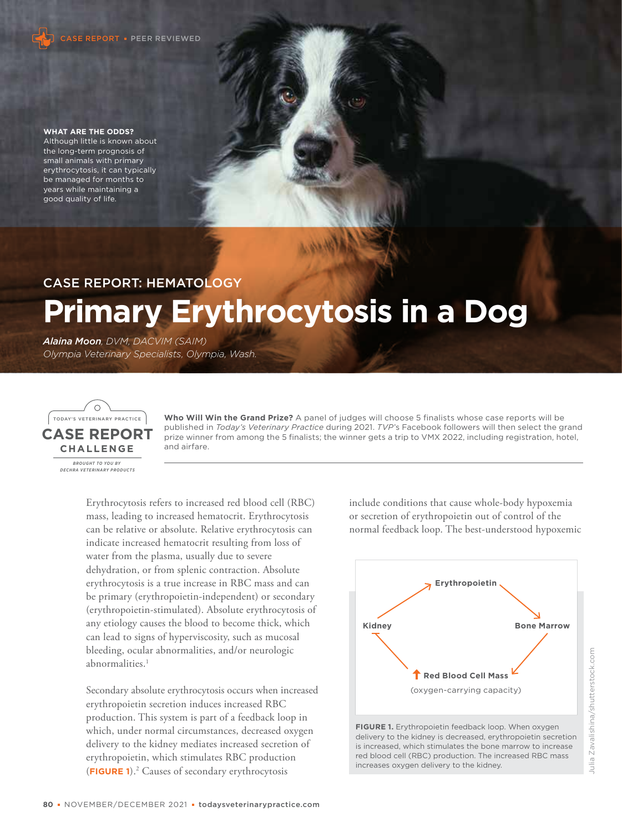

#### **WHAT ARE THE ODDS?**

Although little is known about the long-term prognosis of small animals with primary erythrocytosis, it can typically be managed for months to years while maintaining a good quality of life.

# CASE REPORT: HEMATOLOGY **Primary Erythrocytosis in a Dog**

*Alaina Moon, DVM, DACVIM (SAIM) Olympia Veterinary Specialists, Olympia, Wash.*



**Who Will Win the Grand Prize?** A panel of judges will choose 5 finalists whose case reports will be published in *Today's Veterinary Practice* during 2021. *TVP*'s Facebook followers will then select the grand prize winner from among the 5 finalists; the winner gets a trip to VMX 2022, including registration, hotel, and airfare.

Erythrocytosis refers to increased red blood cell (RBC) mass, leading to increased hematocrit. Erythrocytosis can be relative or absolute. Relative erythrocytosis can indicate increased hematocrit resulting from loss of water from the plasma, usually due to severe dehydration, or from splenic contraction. Absolute erythrocytosis is a true increase in RBC mass and can be primary (erythropoietin-independent) or secondary (erythropoietin-stimulated). Absolute erythrocytosis of any etiology causes the blood to become thick, which can lead to signs of hyperviscosity, such as mucosal bleeding, ocular abnormalities, and/or neurologic abnormalities.<sup>1</sup>

Secondary absolute erythrocytosis occurs when increased erythropoietin secretion induces increased RBC production. This system is part of a feedback loop in which, under normal circumstances, decreased oxygen delivery to the kidney mediates increased secretion of erythropoietin, which stimulates RBC production (**FIGURE 1**).<sup>2</sup> Causes of secondary erythrocytosis

include conditions that cause whole-body hypoxemia or secretion of erythropoietin out of control of the normal feedback loop. The best-understood hypoxemic



FIGURE 1. Erythropoietin feedback loop. When oxygen delivery to the kidney is decreased, erythropoietin secretion is increased, which stimulates the bone marrow to increase red blood cell (RBC) production. The increased RBC mass increases oxygen delivery to the kidney.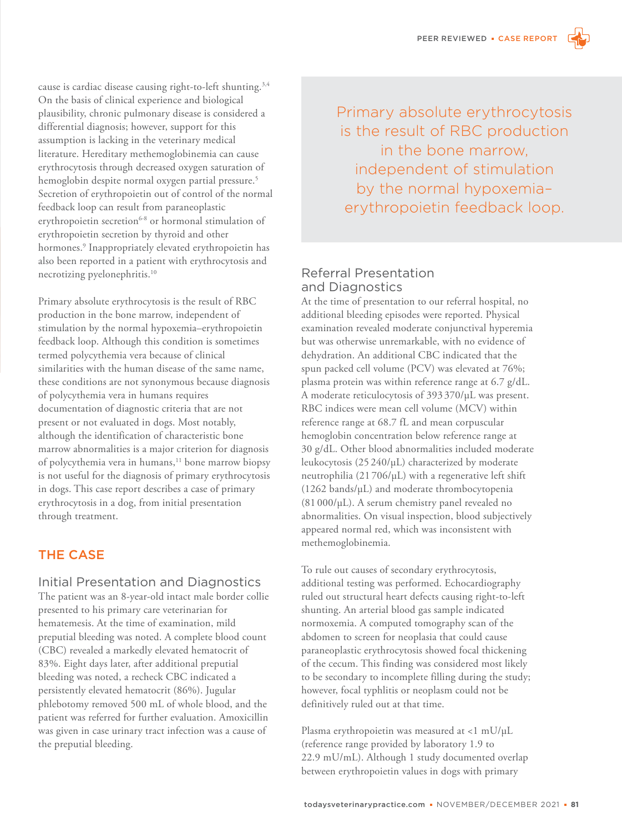cause is cardiac disease causing right-to-left shunting.<sup>3,4</sup> On the basis of clinical experience and biological plausibility, chronic pulmonary disease is considered a differential diagnosis; however, support for this assumption is lacking in the veterinary medical literature. Hereditary methemoglobinemia can cause erythrocytosis through decreased oxygen saturation of hemoglobin despite normal oxygen partial pressure.<sup>5</sup> Secretion of erythropoietin out of control of the normal feedback loop can result from paraneoplastic erythropoietin secretion<sup>6-8</sup> or hormonal stimulation of erythropoietin secretion by thyroid and other hormones.<sup>9</sup> Inappropriately elevated erythropoietin has also been reported in a patient with erythrocytosis and necrotizing pyelonephritis.<sup>10</sup>

Primary absolute erythrocytosis is the result of RBC production in the bone marrow, independent of stimulation by the normal hypoxemia–erythropoietin feedback loop. Although this condition is sometimes termed polycythemia vera because of clinical similarities with the human disease of the same name, these conditions are not synonymous because diagnosis of polycythemia vera in humans requires documentation of diagnostic criteria that are not present or not evaluated in dogs. Most notably, although the identification of characteristic bone marrow abnormalities is a major criterion for diagnosis of polycythemia vera in humans,<sup>11</sup> bone marrow biopsy is not useful for the diagnosis of primary erythrocytosis in dogs. This case report describes a case of primary erythrocytosis in a dog, from initial presentation through treatment.

# THE CASE

#### Initial Presentation and Diagnostics

The patient was an 8-year-old intact male border collie presented to his primary care veterinarian for hematemesis. At the time of examination, mild preputial bleeding was noted. A complete blood count (CBC) revealed a markedly elevated hematocrit of 83%. Eight days later, after additional preputial bleeding was noted, a recheck CBC indicated a persistently elevated hematocrit (86%). Jugular phlebotomy removed 500 mL of whole blood, and the patient was referred for further evaluation. Amoxicillin was given in case urinary tract infection was a cause of the preputial bleeding.

Primary absolute erythrocytosis is the result of RBC production in the bone marrow, independent of stimulation by the normal hypoxemia– erythropoietin feedback loop.

## Referral Presentation and Diagnostics

At the time of presentation to our referral hospital, no additional bleeding episodes were reported. Physical examination revealed moderate conjunctival hyperemia but was otherwise unremarkable, with no evidence of dehydration. An additional CBC indicated that the spun packed cell volume (PCV) was elevated at 76%; plasma protein was within reference range at 6.7 g/dL. A moderate reticulocytosis of 393 370/µL was present. RBC indices were mean cell volume (MCV) within reference range at 68.7 fL and mean corpuscular hemoglobin concentration below reference range at 30 g/dL. Other blood abnormalities included moderate leukocytosis (25 240/µL) characterized by moderate neutrophilia (21 706/µL) with a regenerative left shift (1262 bands/µL) and moderate thrombocytopenia (81 000/µL). A serum chemistry panel revealed no abnormalities. On visual inspection, blood subjectively appeared normal red, which was inconsistent with methemoglobinemia.

To rule out causes of secondary erythrocytosis, additional testing was performed. Echocardiography ruled out structural heart defects causing right-to-left shunting. An arterial blood gas sample indicated normoxemia. A computed tomography scan of the abdomen to screen for neoplasia that could cause paraneoplastic erythrocytosis showed focal thickening of the cecum. This finding was considered most likely to be secondary to incomplete filling during the study; however, focal typhlitis or neoplasm could not be definitively ruled out at that time.

Plasma erythropoietin was measured at <1 mU/µL (reference range provided by laboratory 1.9 to 22.9 mU/mL). Although 1 study documented overlap between erythropoietin values in dogs with primary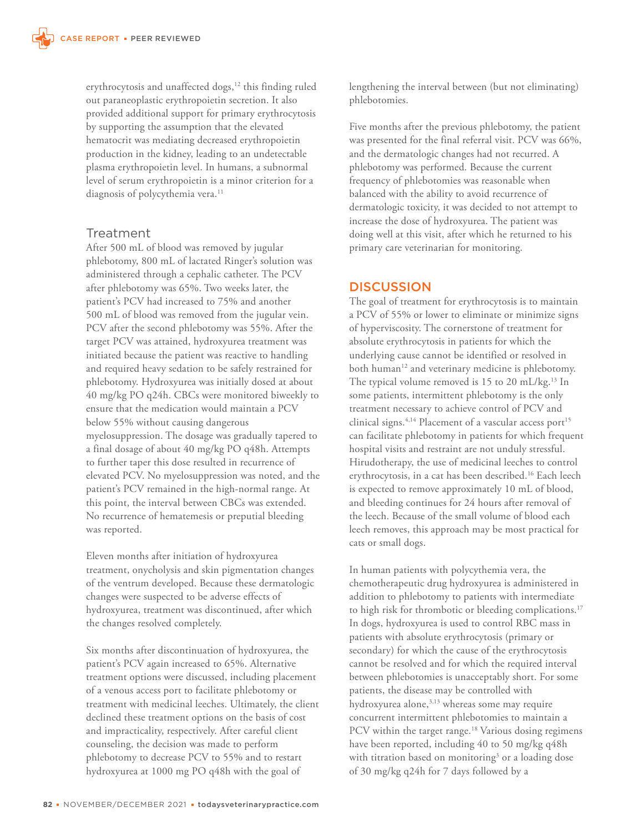erythrocytosis and unaffected dogs,<sup>12</sup> this finding ruled out paraneoplastic erythropoietin secretion. It also provided additional support for primary erythrocytosis by supporting the assumption that the elevated hematocrit was mediating decreased erythropoietin production in the kidney, leading to an undetectable plasma erythropoietin level. In humans, a subnormal level of serum erythropoietin is a minor criterion for a diagnosis of polycythemia vera.<sup>11</sup>

## Treatment

After 500 mL of blood was removed by jugular phlebotomy, 800 mL of lactated Ringer's solution was administered through a cephalic catheter. The PCV after phlebotomy was 65%. Two weeks later, the patient's PCV had increased to 75% and another 500 mL of blood was removed from the jugular vein. PCV after the second phlebotomy was 55%. After the target PCV was attained, hydroxyurea treatment was initiated because the patient was reactive to handling and required heavy sedation to be safely restrained for phlebotomy. Hydroxyurea was initially dosed at about 40 mg/kg PO q24h. CBCs were monitored biweekly to ensure that the medication would maintain a PCV below 55% without causing dangerous myelosuppression. The dosage was gradually tapered to a final dosage of about 40 mg/kg PO q48h. Attempts to further taper this dose resulted in recurrence of elevated PCV. No myelosuppression was noted, and the patient's PCV remained in the high-normal range. At this point, the interval between CBCs was extended. No recurrence of hematemesis or preputial bleeding was reported.

Eleven months after initiation of hydroxyurea treatment, onycholysis and skin pigmentation changes of the ventrum developed. Because these dermatologic changes were suspected to be adverse effects of hydroxyurea, treatment was discontinued, after which the changes resolved completely.

Six months after discontinuation of hydroxyurea, the patient's PCV again increased to 65%. Alternative treatment options were discussed, including placement of a venous access port to facilitate phlebotomy or treatment with medicinal leeches. Ultimately, the client declined these treatment options on the basis of cost and impracticality, respectively. After careful client counseling, the decision was made to perform phlebotomy to decrease PCV to 55% and to restart hydroxyurea at 1000 mg PO q48h with the goal of

lengthening the interval between (but not eliminating) phlebotomies.

Five months after the previous phlebotomy, the patient was presented for the final referral visit. PCV was 66%, and the dermatologic changes had not recurred. A phlebotomy was performed. Because the current frequency of phlebotomies was reasonable when balanced with the ability to avoid recurrence of dermatologic toxicity, it was decided to not attempt to increase the dose of hydroxyurea. The patient was doing well at this visit, after which he returned to his primary care veterinarian for monitoring.

## **DISCUSSION**

The goal of treatment for erythrocytosis is to maintain a PCV of 55% or lower to eliminate or minimize signs of hyperviscosity. The cornerstone of treatment for absolute erythrocytosis in patients for which the underlying cause cannot be identified or resolved in both human<sup>12</sup> and veterinary medicine is phlebotomy. The typical volume removed is 15 to 20 mL/kg.<sup>13</sup> In some patients, intermittent phlebotomy is the only treatment necessary to achieve control of PCV and clinical signs.<sup>4,14</sup> Placement of a vascular access port<sup>15</sup> can facilitate phlebotomy in patients for which frequent hospital visits and restraint are not unduly stressful. Hirudotherapy, the use of medicinal leeches to control erythrocytosis, in a cat has been described.<sup>16</sup> Each leech is expected to remove approximately 10 mL of blood, and bleeding continues for 24 hours after removal of the leech. Because of the small volume of blood each leech removes, this approach may be most practical for cats or small dogs.

In human patients with polycythemia vera, the chemotherapeutic drug hydroxyurea is administered in addition to phlebotomy to patients with intermediate to high risk for thrombotic or bleeding complications.<sup>17</sup> In dogs, hydroxyurea is used to control RBC mass in patients with absolute erythrocytosis (primary or secondary) for which the cause of the erythrocytosis cannot be resolved and for which the required interval between phlebotomies is unacceptably short. For some patients, the disease may be controlled with hydroxyurea alone,<sup>3,13</sup> whereas some may require concurrent intermittent phlebotomies to maintain a PCV within the target range.<sup>18</sup> Various dosing regimens have been reported, including 40 to 50 mg/kg q48h with titration based on monitoring<sup>3</sup> or a loading dose of 30 mg/kg q24h for 7 days followed by a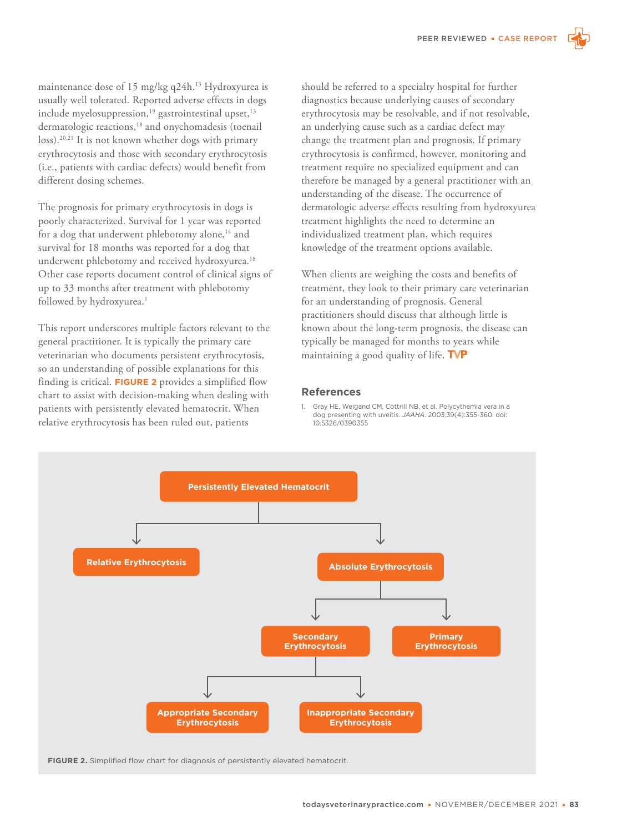maintenance dose of 15 mg/kg q24h.<sup>13</sup> Hydroxyurea is usually well tolerated. Reported adverse effects in dogs include myelosuppression,<sup>19</sup> gastrointestinal upset,<sup>13</sup> dermatologic reactions,<sup>18</sup> and onychomadesis (toenail loss).20,21 It is not known whether dogs with primary erythrocytosis and those with secondary erythrocytosis (i.e., patients with cardiac defects) would benefit from different dosing schemes.

The prognosis for primary erythrocytosis in dogs is poorly characterized. Survival for 1 year was reported for a dog that underwent phlebotomy alone,<sup>14</sup> and survival for 18 months was reported for a dog that underwent phlebotomy and received hydroxyurea.<sup>18</sup> Other case reports document control of clinical signs of up to 33 months after treatment with phlebotomy followed by hydroxyurea.<sup>1</sup>

This report underscores multiple factors relevant to the general practitioner. It is typically the primary care veterinarian who documents persistent erythrocytosis, so an understanding of possible explanations for this finding is critical. **FIGURE 2** provides a simplified flow chart to assist with decision-making when dealing with patients with persistently elevated hematocrit. When relative erythrocytosis has been ruled out, patients

should be referred to a specialty hospital for further diagnostics because underlying causes of secondary erythrocytosis may be resolvable, and if not resolvable, an underlying cause such as a cardiac defect may change the treatment plan and prognosis. If primary erythrocytosis is confirmed, however, monitoring and treatment require no specialized equipment and can therefore be managed by a general practitioner with an understanding of the disease. The occurrence of dermatologic adverse effects resulting from hydroxyurea treatment highlights the need to determine an individualized treatment plan, which requires knowledge of the treatment options available.

When clients are weighing the costs and benefits of treatment, they look to their primary care veterinarian for an understanding of prognosis. General practitioners should discuss that although little is known about the long-term prognosis, the disease can typically be managed for months to years while maintaining a good quality of life. TVP

#### **References**

1. Gray HE, Weigand CM, Cottrill NB, et al. Polycythemia vera in a dog presenting with uveitis. *JAAHA*. 2003;39(4):355-360. doi: 10.5326/0390355



**FIGURE 2.** Simplified flow chart for diagnosis of persistently elevated hematocrit.